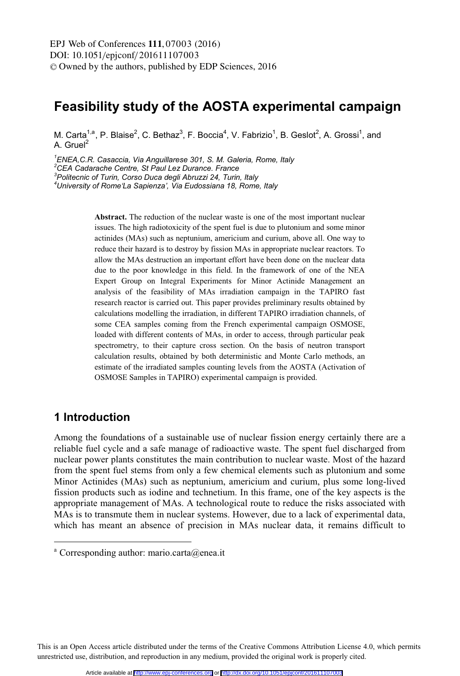# **Feasibility study of the AOSTA experimental campaign**

M. Carta<sup>1,a</sup>, P. Blaise<sup>2</sup>, C. Bethaz<sup>3</sup>, F. Boccia<sup>4</sup>, V. Fabrizio<sup>1</sup>, B. Geslot<sup>2</sup>, A. Grossi<sup>1</sup>, and A. Gruel<sup>2</sup>

 *ENEA,C.R. Casaccia, Via Anguillarese 301, S. M. Galeria, Rome, Italy CEA Cadarache Centre, St Paul Lez Durance. France Politecnic of Turin, Corso Duca degli Abruzzi 24, Turin, Italy University of Rome'La Sapienza', Via Eudossiana 18, Rome, Italy* 

> **Abstract.** The reduction of the nuclear waste is one of the most important nuclear issues. The high radiotoxicity of the spent fuel is due to plutonium and some minor actinides (MAs) such as neptunium, americium and curium, above all. One way to reduce their hazard is to destroy by fission MAs in appropriate nuclear reactors. To allow the MAs destruction an important effort have been done on the nuclear data due to the poor knowledge in this field. In the framework of one of the NEA Expert Group on Integral Experiments for Minor Actinide Management an analysis of the feasibility of MAs irradiation campaign in the TAPIRO fast research reactor is carried out. This paper provides preliminary results obtained by calculations modelling the irradiation, in different TAPIRO irradiation channels, of some CEA samples coming from the French experimental campaign OSMOSE, loaded with different contents of MAs, in order to access, through particular peak spectrometry, to their capture cross section. On the basis of neutron transport calculation results, obtained by both deterministic and Monte Carlo methods, an estimate of the irradiated samples counting levels from the AOSTA (Activation of OSMOSE Samples in TAPIRO) experimental campaign is provided.

### **1 Introduction**

 $\overline{a}$ 

Among the foundations of a sustainable use of nuclear fission energy certainly there are a reliable fuel cycle and a safe manage of radioactive waste. The spent fuel discharged from nuclear power plants constitutes the main contribution to nuclear waste. Most of the hazard from the spent fuel stems from only a few chemical elements such as plutonium and some Minor Actinides (MAs) such as neptunium, americium and curium, plus some long-lived fission products such as iodine and technetium. In this frame, one of the key aspects is the appropriate management of MAs. A technological route to reduce the risks associated with MAs is to transmute them in nuclear systems. However, due to a lack of experimental data, which has meant an absence of precision in MAs nuclear data, it remains difficult to

This is an Open Access article distributed under the terms of the Creative Commons Attribution License 4.0, which permits unrestricted use, distribution, and reproduction in any medium, provided the original work is properly cited.

<sup>&</sup>lt;sup>a</sup> Corresponding author: mario.carta@enea.it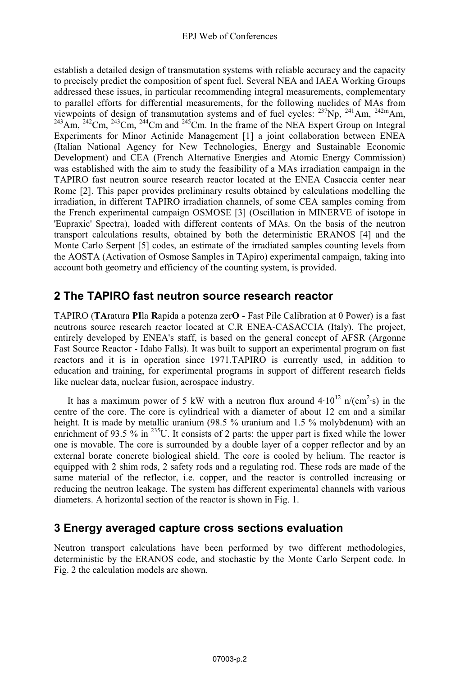establish a detailed design of transmutation systems with reliable accuracy and the capacity to precisely predict the composition of spent fuel. Several NEA and IAEA Working Groups addressed these issues, in particular recommending integral measurements, complementary to parallel efforts for differential measurements, for the following nuclides of MAs from viewpoints of design of transmutation systems and of fuel cycles:  $^{237}Np$ ,  $^{241}Am$ ,  $^{242m}Am$ ,  $v_{243}^{243}$ Am,  $^{242}$ Cm,  $^{243}$ Cm,  $^{244}$ Cm and  $^{245}$ Cm. In the frame of the NEA Expert Group on Integral Experiments for Minor Actinide Management [1] a joint collaboration between ENEA (Italian National Agency for New Technologies, Energy and Sustainable Economic Development) and CEA (French Alternative Energies and Atomic Energy Commission) was established with the aim to study the feasibility of a MAs irradiation campaign in the TAPIRO fast neutron source research reactor located at the ENEA Casaccia center near Rome [2]. This paper provides preliminary results obtained by calculations modelling the irradiation, in different TAPIRO irradiation channels, of some CEA samples coming from the French experimental campaign OSMOSE [3] (Oscillation in MINERVE of isotope in 'Eupraxic' Spectra), loaded with different contents of MAs. On the basis of the neutron transport calculations results, obtained by both the deterministic ERANOS [4] and the Monte Carlo Serpent [5] codes, an estimate of the irradiated samples counting levels from the AOSTA (Activation of Osmose Samples in TApiro) experimental campaign, taking into account both geometry and efficiency of the counting system, is provided.

### **2 The TAPIRO fast neutron source research reactor**

TAPIRO (**TA**ratura **PI**la **R**apida a potenza zer**O** - Fast Pile Calibration at 0 Power) is a fast neutrons source research reactor located at C.R ENEA-CASACCIA (Italy). The project, entirely developed by ENEA's staff, is based on the general concept of AFSR (Argonne Fast Source Reactor - Idaho Falls). It was built to support an experimental program on fast reactors and it is in operation since 1971.TAPIRO is currently used, in addition to education and training, for experimental programs in support of different research fields like nuclear data, nuclear fusion, aerospace industry.

It has a maximum power of 5 kW with a neutron flux around  $4 \cdot 10^{12}$  n/(cm<sup>2</sup> $\cdot$ s) in the centre of the core. The core is cylindrical with a diameter of about 12 cm and a similar height. It is made by metallic uranium (98.5 % uranium and 1.5 % molybdenum) with an enrichment of 93.5  $\%$  in <sup>235</sup>U. It consists of 2 parts: the upper part is fixed while the lower one is movable. The core is surrounded by a double layer of a copper reflector and by an external borate concrete biological shield. The core is cooled by helium. The reactor is equipped with 2 shim rods, 2 safety rods and a regulating rod. These rods are made of the same material of the reflector, i.e. copper, and the reactor is controlled increasing or reducing the neutron leakage. The system has different experimental channels with various diameters. A horizontal section of the reactor is shown in Fig. 1.

### **3 Energy averaged capture cross sections evaluation**

Neutron transport calculations have been performed by two different methodologies, deterministic by the ERANOS code, and stochastic by the Monte Carlo Serpent code. In Fig. 2 the calculation models are shown.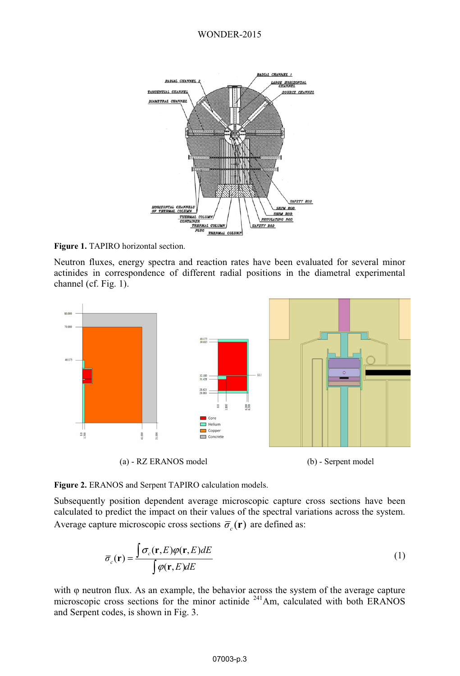#### WONDER-2015



**Figure 1.** TAPIRO horizontal section.

Neutron fluxes, energy spectra and reaction rates have been evaluated for several minor actinides in correspondence of different radial positions in the diametral experimental channel (cf. Fig. 1).



**Figure 2.** ERANOS and Serpent TAPIRO calculation models.

Subsequently position dependent average microscopic capture cross sections have been calculated to predict the impact on their values of the spectral variations across the system. Average capture microscopic cross sections  $\bar{\sigma}_c(\mathbf{r})$  are defined as:

$$
\overline{\sigma}_c(\mathbf{r}) = \frac{\int \sigma_c(\mathbf{r}, E) \varphi(\mathbf{r}, E) dE}{\int \varphi(\mathbf{r}, E) dE}
$$
(1)

with  $\varphi$  neutron flux. As an example, the behavior across the system of the average capture microscopic cross sections for the minor actinide <sup>241</sup>Am, calculated with both ERANOS and Serpent codes, is shown in Fig. 3.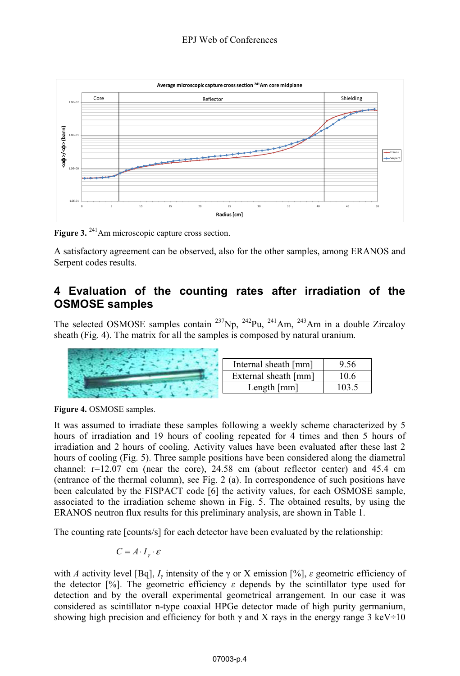

Figure 3.<sup>241</sup>Am microscopic capture cross section.

A satisfactory agreement can be observed, also for the other samples, among ERANOS and Serpent codes results.

# **4 Evaluation of the counting rates after irradiation of the OSMOSE samples**

The selected OSMOSE samples contain  $^{237}$ Np,  $^{242}$ Pu,  $^{241}$ Am,  $^{243}$ Am in a double Zircaloy sheath (Fig. 4). The matrix for all the samples is composed by natural uranium.



| Internal sheath [mm] | 9.56  |
|----------------------|-------|
| External sheath [mm] | 10.6  |
| Length [mm]          | 103.5 |

**Figure 4.** OSMOSE samples.

It was assumed to irradiate these samples following a weekly scheme characterized by 5 hours of irradiation and 19 hours of cooling repeated for 4 times and then 5 hours of irradiation and 2 hours of cooling. Activity values have been evaluated after these last 2 hours of cooling (Fig. 5). Three sample positions have been considered along the diametral channel:  $r=12.07$  cm (near the core), 24.58 cm (about reflector center) and 45.4 cm (entrance of the thermal column), see Fig. 2 (a). In correspondence of such positions have been calculated by the FISPACT code [6] the activity values, for each OSMOSE sample, associated to the irradiation scheme shown in Fig. 5. The obtained results, by using the ERANOS neutron flux results for this preliminary analysis, are shown in Table 1.

The counting rate [counts/s] for each detector have been evaluated by the relationship:

$$
C = A \cdot I_{\gamma} \cdot \varepsilon
$$

with *A* activity level [Bq],  $I<sub>v</sub>$  intensity of the  $\gamma$  or X emission [%],  $\varepsilon$  geometric efficiency of the detector [%]. The geometric efficiency  $\varepsilon$  depends by the scintillator type used for detection and by the overall experimental geometrical arrangement. In our case it was considered as scintillator n-type coaxial HPGe detector made of high purity germanium, showing high precision and efficiency for both  $\gamma$  and X rays in the energy range 3 keV÷10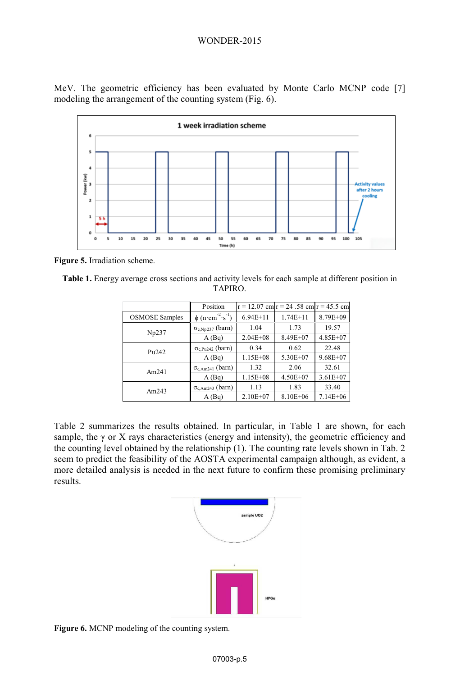#### WONDER-2015

MeV. The geometric efficiency has been evaluated by Monte Carlo MCNP code [7] modeling the arrangement of the counting system (Fig. 6).



**Figure 5.** Irradiation scheme.

**Table 1.** Energy average cross sections and activity levels for each sample at different position in TAPIRO.

|                       | Position                                      |              | $r = 12.07$ cm $r = 24.58$ cm $r = 45.5$ cm |              |
|-----------------------|-----------------------------------------------|--------------|---------------------------------------------|--------------|
| <b>OSMOSE</b> Samples | $\phi$ (n·cm <sup>-2</sup> ·s <sup>-1</sup> ) | $6.94E+11$   | $1.74E + 11$                                | 8.79E+09     |
| Np237                 | $\sigma_{c, Np237}$ (barn)                    | 1.04         | 1.73                                        | 19.57        |
|                       | A(Bq)                                         | $2.04E + 08$ | $8.49E + 07$                                | $4.85E+07$   |
| Pu242                 | $\sigma_{c.Pu242}$ (barn)                     | 0.34         | 0.62                                        | 22.48        |
|                       | A(Bq)                                         | $1.15E + 08$ | $5.30E + 07$                                | $9.68E + 07$ |
| Am $241$              | $\sigma_{c,Am241}$ (barn)                     | 1.32         | 2.06                                        | 32.61        |
|                       | A(Bq)                                         | $1.15E + 08$ | $4.50E + 07$                                | $3.61E + 07$ |
| Am $243$              | $\sigma_{c,Am243}$ (barn)                     | 1.13         | 1.83                                        | 33.40        |
|                       | A(Bq)                                         | $2.10E + 07$ | 8.10E+06                                    | $7.14E + 06$ |

Table 2 summarizes the results obtained. In particular, in Table 1 are shown, for each sample, the  $\gamma$  or X rays characteristics (energy and intensity), the geometric efficiency and the counting level obtained by the relationship (1). The counting rate levels shown in Tab. 2 seem to predict the feasibility of the AOSTA experimental campaign although, as evident, a more detailed analysis is needed in the next future to confirm these promising preliminary results.



**Figure 6.** MCNP modeling of the counting system.